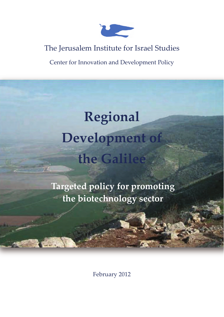

# The Jerusalem Institute for Israel Studies

Center for Innovation and Development Policy

# **Regional Development of the Galilee**

**Targeted policy for promoting the biotechnology sector** 

February 2012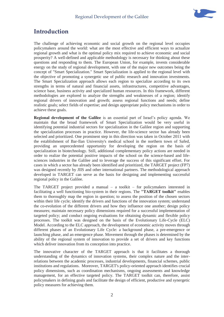

### **Introduction**

The challenge of achieving economic and social growth on the regional level occupies policymakers around the world: what are the most effective and efficient ways to actualize regional growth and what is the optimal policy mix required to achieve economic and social prosperity? A well-defined and applicable methodology is necessary for thinking about these questions and responding to them. The European Union, for example, invests considerable energy on the study of regional development, with one of the major new outcomes being the concept of "Smart Specialization." Smart Specialization is applied to the regional level with the objective of promoting a synergetic use of public research and innovation investments. The Smart Specialization approach allows each region to specialize according to its own strengths in terms of natural and financial assets, infrastructures, competitive advantages, science base, business activity and specialized human resources. In this framework, different methodologies are explored to analyze the strengths and weaknesses of a region; identify regional drivers of innovation and growth; assess regional functions and needs; define realistic goals; select fields of expertise; and design appropriate policy mechanisms in order to achieve these goals.

**Regional development of the Galilee** is an essential part of Israel's policy agenda. We maintain that the broad framework of Smart Specialization would be very useful in identifying potential industrial sectors for specialization in the Galilee region and supporting the specialization processes in practice. However, the life-science sector has already been selected and prioritized. One prominent step in this direction was taken in October 2011 with the establishment of Bar-Ilan University's medical school in the northern town of Safed, providing an unprecedented opportunity for developing the region on the basis of specialization in biotechnology. Still, additional complementary policy actions are needed in order to realize the potential positive impacts of the school on the science-based and lifesciences industries in the Galilee and to leverage the success of this significant effort. For cases in which a sector has already been identified and prioritized, the TARGET project (FP7) was designed recently by JIIS and other international partners. The methodological approach developed in TARGET can serve as the basis for designing and implementing successful regional policy in the Galilee.

The TARGET project provided a manual  $-$  a toolkit  $-$  for policymakers interested in facilitating a well functioning bio-system in their regions. The **"TARGET toolkit"** enables them to thoroughly map the region in question; to assess the position of the chosen sectors within their life cycle; identify the drivers and functions of the innovation system; understand the co-evolution of the different drivers and how they influence one another; design policy measures; maintain necessary policy dimensions required for a successful implementation of targeted policy; and conduct ongoing evaluations for obtaining dynamic and flexible policy processes. The toolkit was designed on the basis of the Evolutionary Life-Cycle (ELC) Model. According to the ELC approach, the development of economic activity moves through different phases of an Evolutionary Life Cycle: a background phase, a pre-emergence or launching phase, and an emergence phase. Movement through the phases is determined by the ability of the regional system of innovation to provide a set of drivers and key functions which deliver innovation from its conception into practice.

The innovative character of the TARGET approach is that it facilitates a thorough understanding of the dynamics of innovation systems, their complex nature and the interrelations between the academic processes, industrial developments, financial schemes, public institutions and regulations. Moreover, TARGET's policy-oriented approach identifies crucial policy dimensions, such as coordination mechanisms, ongoing assessments and knowledge management, for an effective targeted policy. The TARGET toolkit can, therefore, assist policymakers in defining goals and facilitate the design of efficient, productive and synergetic policy measures for achieving them.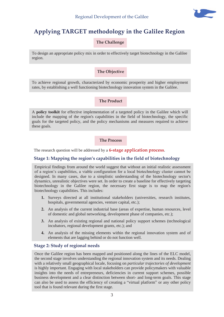

## **Applying TARGET methodology in the Galilee Region**

**The Challenge** 

To design an appropriate policy mix in order to effectively target biotechnology in the Galilee region.

#### **The Objective**

To achieve regional growth, characterized by economic prosperity and higher employment rates, by establishing a well functioning biotechnology innovation system in the Galilee.

#### **The Product**

A **policy toolkit** for effective implementation of a targeted policy in the Galilee which will include the mapping of the region's capabilities in the field of biotechnology, the specific goals for the targeted policy, and the policy mechanisms and measures required to achieve these goals.

**The Process** 

The research question will be addressed by a **6-stage application process**.

#### **Stage 1: Mapping the region's capabilities in the field of biotechnology**

Empirical findings from around the world suggest that without an initial realistic assessment of a region's capabilities, a viable configuration for a local biotechnology cluster cannot be designed. In many cases, due to a simplistic understanding of the biotechnology sector's dynamics, unrealistic objectives were set. In order to create a baseline for effectively targeting biotechnology in the Galilee region, the necessary first stage is to map the region's biotechnology capabilities. This includes:

- **1.** Surveys directed at all institutional stakeholders (universities, research institutes, hospitals, governmental agencies, venture capital, etc.);
- **2.** An analysis of the current industrial base (areas of expertise, human resources, level of domestic and global networking, development phase of companies, etc.);
- **3.** An analysis of existing regional and national policy support schemes (technological incubators, regional development grants, etc.); and
- **4.** An analysis of the missing elements within the regional innovation system and of elements that are lagging behind or do not function well.

#### **Stage 2: Study of regional needs**

Once the Galilee region has been mapped and positioned along the lines of the ELC model, the second stage involves understanding the regional innovation system and its needs. Dealing with a relatively small geographical locale, focusing on *particular trajectories of development* is highly important. Engaging with local stakeholders can provide policymakers with valuable insights into the needs of entrepreneurs, deficiencies in current support schemes, possible business development and a clear distinction between short- and long-term goals. This stage can also be used to assess the efficiency of creating a "virtual platform" or any other policy tool that is found relevant during the first stage.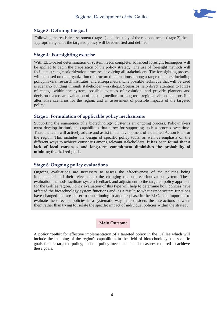

#### **Stage 3: Defining the goal**

Following the realistic assessment (stage 1) and the study of the regional needs (stage 2) the appropriate goal of the targeted policy will be identified and defined.

#### **Stage 4: Foresighting exercise**

With ELC-based determination of system needs complete, advanced foresight techniques will be applied to begin the preparation of the policy strategy. The use of foresight methods will facilitate strategic prioritization processes involving all stakeholders. The foresighting process will be based on the organization of structured interactions among a range of actors, including policymakers, research institutes, and entrepreneurs. One possible technique that will be used is scenario building through stakeholder workshops. Scenarios help direct attention to forces of change within the system; possible avenues of evolution; and provide planners and decision-makers an evaluation of existing medium-to-long-term regional visions and possible alternative scenarios for the region, and an assessment of possible impacts of the targeted policy.

#### **Stage 5: Formulation of applicable policy mechanisms**

Supporting the emergence of a biotechnology cluster is an ongoing process. Policymakers must develop institutional capabilities that allow for supporting such a process over time. Thus, the team will actively advise and assist in the development of a detailed Action Plan for the region. This includes the design of specific policy tools, as well as emphasis on the different ways to achieve consensus among relevant stakeholders. **It has been found that a lack of local consensus and long-term commitment diminishes the probability of attaining the desired goals.** 

#### **Stage 6: Ongoing policy evaluations**

Ongoing evaluations are necessary to assess the effectiveness of the policies being implemented and their relevance to the changing regional eco-innovation system. These evaluation methods facilitate system feedback and adjustment to the targeted policy approach for the Galilee region. Policy evaluation of this type will help to determine how policies have affected the biotechnology system functions and, as a result, to what extent system functions have changed and are closer to transitioning to another phase in the ELC. It is important to evaluate the effect of policies in a systematic way that considers the interactions between them rather than trying to isolate the specific impact of individual policies within the strategy.

#### **Main Outcome**

A **policy toolkit** for effective implementation of a targeted policy in the Galilee which will include the mapping of the region's capabilities in the field of biotechnology, the specific goals for the targeted policy, and the policy mechanisms and measures required to achieve these goals.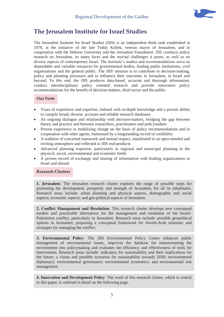

## **The Jerusalem Institute for Israel Studies**

The Jerusalem Institute for Israel Studies (JIIS) is an independent think tank established in 1978, at the initiative of the late Teddy Kollek, veteran mayor of Jerusalem, and in cooperation with the Hebrew University and the Jerusalem Foundation. JIIS conducts policy research on Jerusalem, its many faces and the myriad challenges it poses, as well as on diverse aspects of contemporary Israel. The Institute's studies and recommendations serve as dependable and valuable resources for governmental bodies, leading public institutions, civil organizations and the general public. The JIIS' mission is to contribute to decision-making, policy and planning processes and to influence their outcomes in Jerusalem, in Israel and beyond. To this end, the JIIS produces data-based, accurate and thorough information, conduct interdisciplinary policy oriented research and provide innovative policy recommendations for the benefit of decision-makers, third sector and the public.

#### **Our Forte**

- x Years of experience and expertise, imbued with in-depth knowledge and a proven ability to compile broad, diverse, accurate and reliable research databases
- An ongoing dialogue and relationship with decision-makers, bridging the gap between theory and practice and between researchers, practitioners and policymakers
- Proven experience in mobilizing change on the basis of policy recommendations and in cooperation with other agents, buttressed by a longstanding record of credibility
- A tradition of concerted teamwork and mutual respect, manifested in an open-minded and inviting atmosphere and reflected in JIIS end-products
- x Advanced planning expertise, particularly in regional and municipal planning in the physical, social, environmental and economic fields
- A proven record of exchange and sharing of information with leading organizations in Israel and abroad

#### **Research Clusters**

**1. Jerusalem**: The Jerusalem research cluster explores the range of possible steps for promoting the development, prosperity and strength of Jerusalem, for all its inhabitants. Research areas include: urban planning and physical aspects, demographic and social aspects; economic aspects; and geo-political aspects of Jerusalem.

**2. Conflict Management and Resolution**: This research cluster develops new conceptual models and practicable alternatives for the management and resolution of the Israeli-Palestinian conflict, particularly in Jerusalem. Research areas include: possible geopolitical options in Jerusalem; proposing a conceptual framework for Jewish-Arab relations; and strategies for managing the conflict.

**3. Environmental Policy**: The JIIS Environmental Policy Center enhances public management of environmental issues, improves the database for mainstreaming the environment into policymaking and evaluates the efficiency and effectiveness of tools for intervention. Research areas include: indicators for sustainability and their implications for the future; a vision and possible scenarios for sustainability towards 2030; environmental diplomacy; environmental governance; environmental economics; and environmental risk management.

**4. Innovation and Development Policy**: The work of this research cluster, which is central to this paper, is outlined in detail on the following page.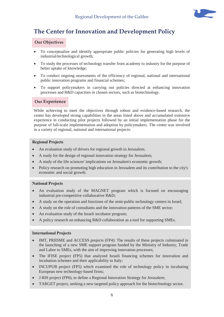

## **The Center for Innovation and Development Policy**

#### **Our Objectives**

- To conceptualize and identify appropriate public policies for generating high levels of industrial/technological growth;
- To study the processes of technology transfer from academy to industry for the purpose of better uptake of knowledge;
- To conduct ongoing assessments of the efficiency of regional, national and international public innovation programs and financial schemes;
- To support policymakers in carrying out policies directed at enhancing innovation processes and R&D capacities in chosen sectors, such as biotechnology.

#### **Our Experience**

While achieving to meet the objectives through robust and evidence-based research, the center has developed strong capabilities in the areas listed above and accumulated extensive experience in conducting pilot projects followed by an initial implementation phase for the purpose of full-scale implementation and adoption by policymakers. The center was involved in a variety of regional, national and international projects:

#### **Regional Projects**

- An evaluation study of drivers for regional growth in Jerusalem;
- A study for the design of regional innovation strategy for Jerusalem;
- x A study of the life sciences' implications on Jerusalem's economic growth;
- Policy research on promoting high education in Jerusalem and its contribution to the city's economic and social growth.

#### **National Projects**

- An evaluation study of the MAGNET program which is focused on encouraging industrial pre-competitive collaborative R&D;
- A study on the operation and functions of the semi-public technology centers in Israel;
- A study on the role of consultants and the innovation patterns of the SME sector;
- An evaluation study of the Israeli incubator program;
- A policy research on enhancing R&D collaboration as a tool for supporting SMEs.

#### **International Projects**

- IMT, PRIISME and ACCESS projects (FP4): The results of these projects culminated in the launching of a new SME support program funded by the Ministry of Industry, Trade and Labor to SMEs, with the aim of improving innovation processes;
- The IFISE project (FP5) that analyzed Israeli financing schemes for innovation and incubation schemes and their applicability to Italy;
- x INCUPUB project (FP5) which examined the role of technology policy in incubating European new technology-based firms;
- x J-RIS project (FP6), to define a Regional Innovation Strategy for Jerusalem;
- TARGET project, seeking a new targeted policy approach for the biotechnology sector.